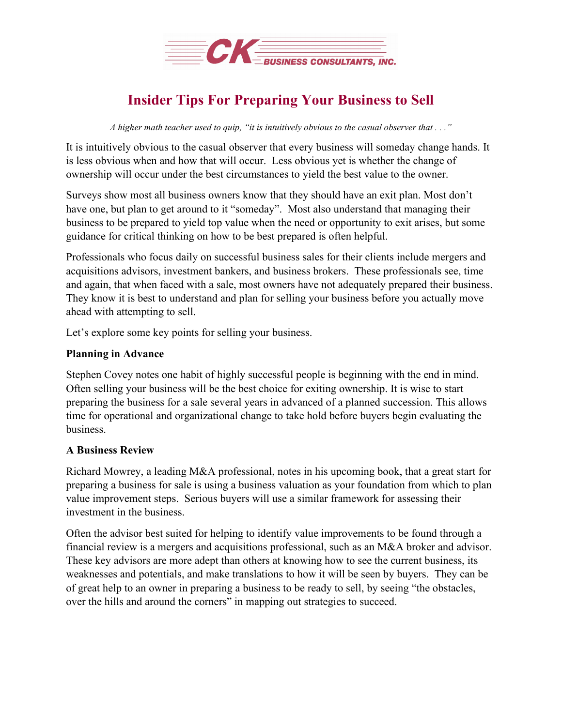

# **Insider Tips For Preparing Your Business to Sell**

A higher math teacher used to quip, "it is intuitively obvious to the casual observer that  $\ldots$ "

It is intuitively obvious to the casual observer that every business will someday change hands. It is less obvious when and how that will occur. Less obvious yet is whether the change of ownership will occur under the best circumstances to yield the best value to the owner.

Surveys show most all business owners know that they should have an exit plan. Most don't have one, but plan to get around to it "someday". Most also understand that managing their business to be prepared to yield top value when the need or opportunity to exit arises, but some guidance for critical thinking on how to be best prepared is often helpful.

Professionals who focus daily on successful business sales for their clients include mergers and acquisitions advisors, investment bankers, and business brokers. These professionals see, time and again, that when faced with a sale, most owners have not adequately prepared their business. They know it is best to understand and plan for selling your business before you actually move ahead with attempting to sell.

Let's explore some key points for selling your business.

## **Planning in Advance**

Stephen Covey notes one habit of highly successful people is beginning with the end in mind. Often selling your business will be the best choice for exiting ownership. It is wise to start preparing the business for a sale several years in advanced of a planned succession. This allows time for operational and organizational change to take hold before buyers begin evaluating the business.

## **A Business Review**

Richard Mowrey, a leading M&A professional, notes in his upcoming book, that a great start for preparing a business for sale is using a business valuation as your foundation from which to plan value improvement steps. Serious buyers will use a similar framework for assessing their investment in the business.

Often the advisor best suited for helping to identify value improvements to be found through a financial review is a mergers and acquisitions professional, such as an M&A broker and advisor. These key advisors are more adept than others at knowing how to see the current business, its weaknesses and potentials, and make translations to how it will be seen by buyers. They can be of great help to an owner in preparing a business to be ready to sell, by seeing "the obstacles, over the hills and around the corners" in mapping out strategies to succeed.